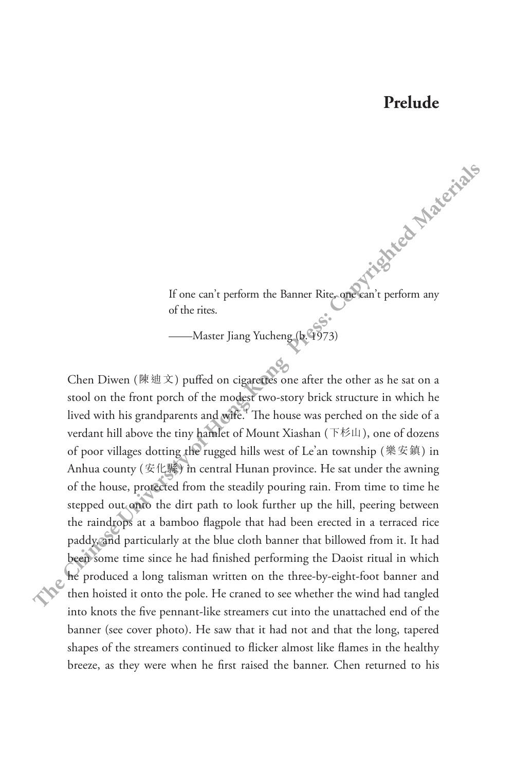## **Prelude**

If one can't perform the Banner Rite, one can't perform any of the rites.

— Master Jiang Yucheng (b. 1973)

Chen Diwen (陳迪文) puffed on cigarettes one after the other as he sat on a stool on the front porch of the modest two-story brick structure in which he lived with his grandparents and wife.<sup>4</sup> The house was perched on the side of a verdant hill above the tiny hamlet of Mount Xiashan (下杉山), one of dozens of poor villages dotting the rugged hills west of Le'an township (樂安鎮) in Anhua county (安化縣) in central Hunan province. He sat under the awning of the house, protected from the steadily pouring rain. From time to time he stepped out onto the dirt path to look further up the hill, peering between the raindrops at a bamboo flagpole that had been erected in a terraced rice paddy, and particularly at the blue cloth banner that billowed from it. It had been some time since he had finished performing the Daoist ritual in which he produced a long talisman written on the three-by-eight-foot banner and then hoisted it onto the pole. He craned to see whether the wind had tangled into knots the five pennant-like streamers cut into the unattached end of the banner (see cover photo). He saw that it had not and that the long, tapered shapes of the streamers continued to flicker almost like flames in the healthy breeze, as they were when he first raised the banner. Chen returned to his **Theorem Chinese Chinese Chinese Chinese Presses (** $\mathbf{Q}^{\text{max}}$ **) and**  $\mathbf{Q}^{\text{max}}$  **(** $\mathbf{Q}^{\text{max}}$ **) and**  $\mathbf{Q}^{\text{max}}$ **) and**  $\mathbf{Q}^{\text{max}}$  **(** $\mathbf{Q}^{\text{max}}$ **) and**  $\mathbf{Q}^{\text{max}}$ **) and**  $\mathbf{Q}^{\text{max}}$  **(** $\mathbf{Q}^{\text{max}}$ **) and \math**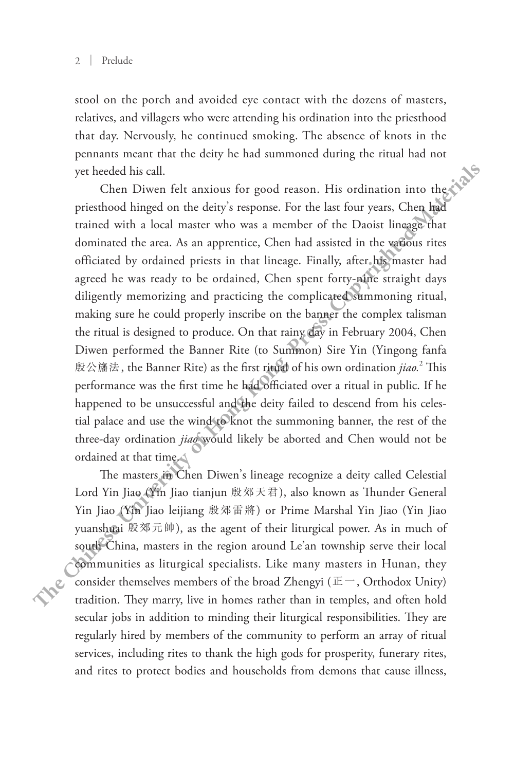stool on the porch and avoided eye contact with the dozens of masters, relatives, and villagers who were attending his ordination into the priesthood that day. Nervously, he continued smoking. The absence of knots in the pennants meant that the deity he had summoned during the ritual had not yet heeded his call.

Chen Diwen felt anxious for good reason. His ordination into the priesthood hinged on the deity's response. For the last four years, Chen had trained with a local master who was a member of the Daoist lineage that dominated the area. As an apprentice, Chen had assisted in the various rites officiated by ordained priests in that lineage. Finally, after his master had agreed he was ready to be ordained, Chen spent forty-nine straight days diligently memorizing and practicing the complicated summoning ritual, making sure he could properly inscribe on the banner the complex talisman the ritual is designed to produce. On that rainy day in February 2004, Chen Diwen performed the Banner Rite (to Summon) Sire Yin (Yingong fanfa 殷公旛法, the Banner Rite) as the first ritual of his own ordination *jiao.*<sup>2</sup> This performance was the first time he had officiated over a ritual in public. If he happened to be unsuccessful and the deity failed to descend from his celestial palace and use the wind to knot the summoning banner, the rest of the three-day ordination *jiao* would likely be aborted and Chen would not be ordained at that time. **The theoretic increase that the set of the set of the set of konstitute and the permanus mean that the deity be had summoned during the riund had not yet holded bis sell.<br>
Chen Diwen felt anxious for good reason. His ord** 

The masters in Chen Diwen's lineage recognize a deity called Celestial Lord Yin Jiao (Yin Jiao tianjun 殷郊天君), also known as Thunder General Yin Jiao (Yin Jiao leijiang 殷郊雷將) or Prime Marshal Yin Jiao (Yin Jiao yuanshuai 殷郊元帥), as the agent of their liturgical power. As in much of south China, masters in the region around Le'an township serve their local communities as liturgical specialists. Like many masters in Hunan, they consider themselves members of the broad Zhengyi ( $E^-$ , Orthodox Unity) tradition. They marry, live in homes rather than in temples, and often hold secular jobs in addition to minding their liturgical responsibilities. They are regularly hired by members of the community to perform an array of ritual services, including rites to thank the high gods for prosperity, funerary rites, and rites to protect bodies and households from demons that cause illness,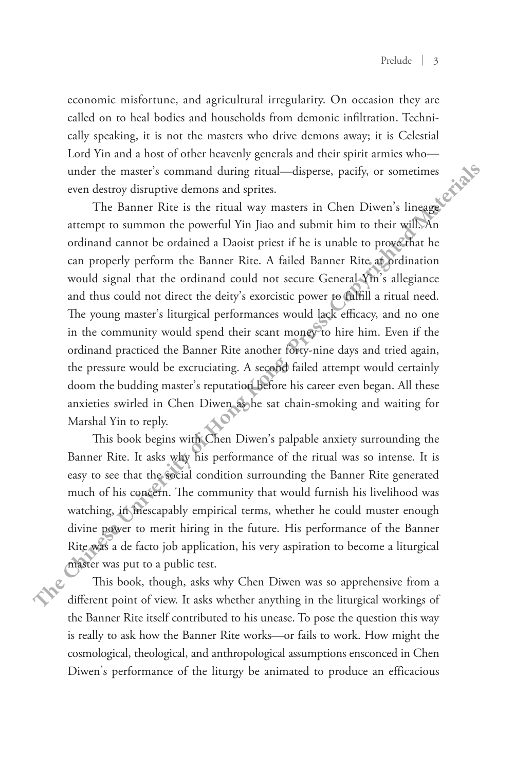economic misfortune, and agricultural irregularity. On occasion they are called on to heal bodies and households from demonic infiltration. Technically speaking, it is not the masters who drive demons away; it is Celestial Lord Yin and a host of other heavenly generals and their spirit armies who under the master's command during ritual—disperse, pacify, or sometimes even destroy disruptive demons and sprites.

The Banner Rite is the ritual way masters in Chen Diwen's lineage attempt to summon the powerful Yin Jiao and submit him to their will. An ordinand cannot be ordained a Daoist priest if he is unable to prove that he can properly perform the Banner Rite. A failed Banner Rite at ordination would signal that the ordinand could not secure General Yin's allegiance and thus could not direct the deity's exorcistic power to fulfill a ritual need. The young master's liturgical performances would lack efficacy, and no one in the community would spend their scant money to hire him. Even if the ordinand practiced the Banner Rite another forty-nine days and tried again, the pressure would be excruciating. A second failed attempt would certainly doom the budding master's reputation before his career even began. All these anxieties swirled in Chen Diwen as he sat chain-smoking and waiting for Marshal Yin to reply. **The Chine of Material Scheme and dependent of the search of the search of the search of the material and their spirit armies whomen under the maters command during trulament the maters is consisted with the Banner Rice is** 

This book begins with Chen Diwen's palpable anxiety surrounding the Banner Rite. It asks why his performance of the ritual was so intense. It is easy to see that the social condition surrounding the Banner Rite generated much of his concern. The community that would furnish his livelihood was watching, in inescapably empirical terms, whether he could muster enough divine power to merit hiring in the future. His performance of the Banner Rite was a de facto job application, his very aspiration to become a liturgical master was put to a public test.

This book, though, asks why Chen Diwen was so apprehensive from a different point of view. It asks whether anything in the liturgical workings of the Banner Rite itself contributed to his unease. To pose the question this way is really to ask how the Banner Rite works—or fails to work. How might the cosmological, theological, and anthropological assumptions ensconced in Chen Diwen's performance of the liturgy be animated to produce an efficacious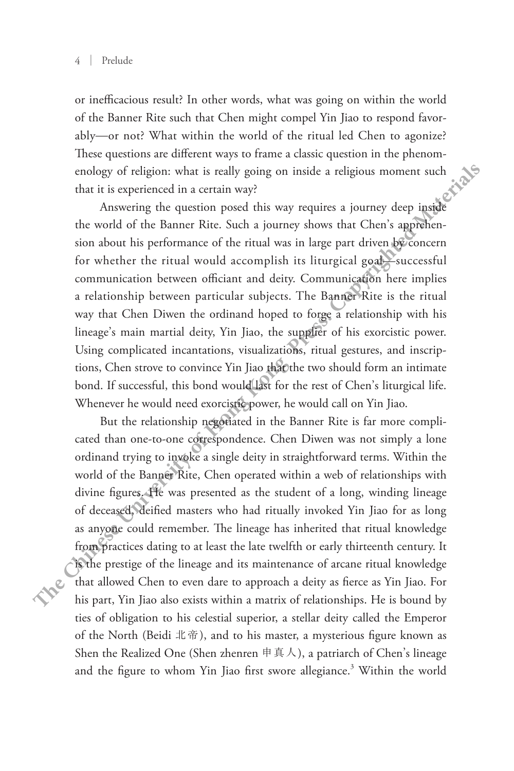or inefficacious result? In other words, what was going on within the world of the Banner Rite such that Chen might compel Yin Jiao to respond favorably—or not? What within the world of the ritual led Chen to agonize? These questions are different ways to frame a classic question in the phenomenology of religion: what is really going on inside a religious moment such that it is experienced in a certain way?

Answering the question posed this way requires a journey deep inside the world of the Banner Rite. Such a journey shows that Chen's apprehension about his performance of the ritual was in large part driven by concern for whether the ritual would accomplish its liturgical goal—successful communication between officiant and deity. Communication here implies a relationship between particular subjects. The Banner Rite is the ritual way that Chen Diwen the ordinand hoped to forge a relationship with his lineage's main martial deity, Yin Jiao, the supplier of his exorcistic power. Using complicated incantations, visualizations, ritual gestures, and inscriptions, Chen strove to convince Yin Jiao that the two should form an intimate bond. If successful, this bond would last for the rest of Chen's liturgical life. Whenever he would need exorcistic power, he would call on Yin Jiao. **These questions are different ways to frame and sixtuation in the phenomenology of redigions monetally going on inside a religious moment such that is really someonly that is really someonly that is a religious pointing t** 

But the relationship negotiated in the Banner Rite is far more complicated than one-to-one correspondence. Chen Diwen was not simply a lone ordinand trying to invoke a single deity in straightforward terms. Within the world of the Banner Rite, Chen operated within a web of relationships with divine figures. He was presented as the student of a long, winding lineage of deceased, deified masters who had ritually invoked Yin Jiao for as long as anyone could remember. The lineage has inherited that ritual knowledge from practices dating to at least the late twelfth or early thirteenth century. It is the prestige of the lineage and its maintenance of arcane ritual knowledge that allowed Chen to even dare to approach a deity as fierce as Yin Jiao. For his part, Yin Jiao also exists within a matrix of relationships. He is bound by ties of obligation to his celestial superior, a stellar deity called the Emperor of the North (Beidi 北帝), and to his master, a mysterious figure known as Shen the Realized One (Shen zhenren 申真人), a patriarch of Chen's lineage and the figure to whom Yin Jiao first swore allegiance.<sup>3</sup> Within the world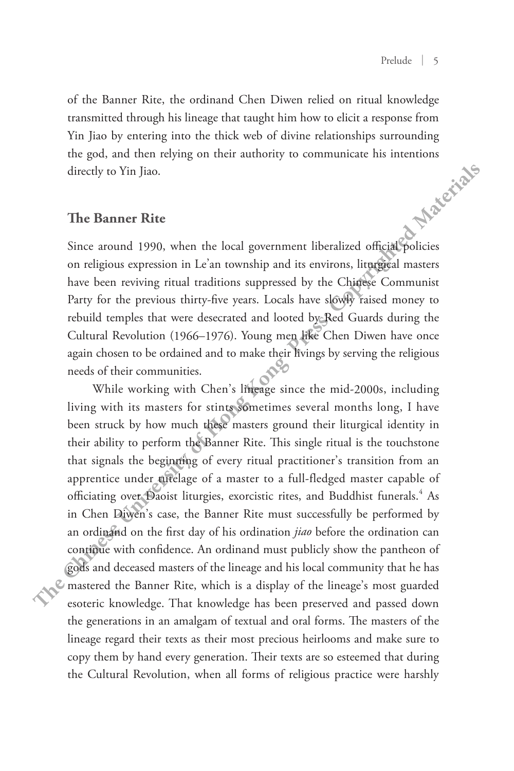of the Banner Rite, the ordinand Chen Diwen relied on ritual knowledge transmitted through his lineage that taught him how to elicit a response from Yin Jiao by entering into the thick web of divine relationships surrounding the god, and then relying on their authority to communicate his intentions<br>directly to Yin Jiao.<br>The Banner Rite directly to Yin Jiao.

## **The Banner Rite**

Since around 1990, when the local government liberalized official policies on religious expression in Le'an township and its environs, liturgical masters have been reviving ritual traditions suppressed by the Chinese Communist Party for the previous thirty-five years. Locals have slowly raised money to rebuild temples that were desecrated and looted by Red Guards during the Cultural Revolution (1966–1976). Young men like Chen Diwen have once again chosen to be ordained and to make their livings by serving the religious needs of their communities.

While working with Chen's lineage since the mid-2000s, including living with its masters for stints sometimes several months long, I have been struck by how much these masters ground their liturgical identity in their ability to perform the Banner Rite. This single ritual is the touchstone that signals the beginning of every ritual practitioner's transition from an apprentice under tutelage of a master to a full-fledged master capable of officiating over Daoist liturgies, exorcistic rites, and Buddhist funerals.<sup>4</sup> As in Chen Diwen's case, the Banner Rite must successfully be performed by an ordinand on the first day of his ordination *jiao* before the ordination can continue with confidence. An ordinand must publicly show the pantheon of gods and deceased masters of the lineage and his local community that he has mastered the Banner Rite, which is a display of the lineage's most guarded esoteric knowledge. That knowledge has been preserved and passed down the generations in an amalgam of textual and oral forms. The masters of the lineage regard their texts as their most precious heirlooms and make sure to copy them by hand every generation. Their texts are so esteemed that during the Cultural Revolution, when all forms of religious practice were harshly **The Banner Material Supervise Supervise Supervise in the second the pressent of the pressent of the god, and then relying on their authority to communicate his intentions directly to Yin Jiao.<br>
<b>The Banner Rite**<br>
Since a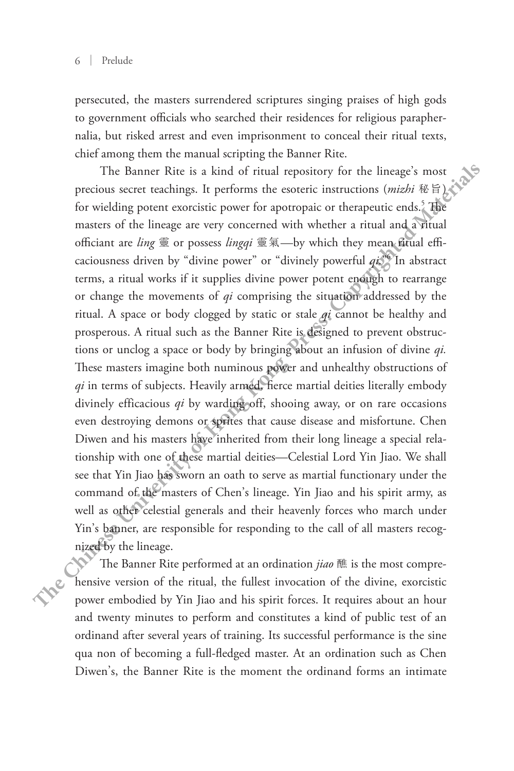persecuted, the masters surrendered scriptures singing praises of high gods to government officials who searched their residences for religious paraphernalia, but risked arrest and even imprisonment to conceal their ritual texts, chief among them the manual scripting the Banner Rite.

The Banner Rite is a kind of ritual repository for the lineage's most precious secret teachings. It performs the esoteric instructions (mizhi 秘旨)、 for wielding potent exorcistic power for apotropaic or therapeutic ends.<sup>5</sup> The masters of the lineage are very concerned with whether a ritual and a ritual officiant are *ling* 靈 or possess *lingqi* 靈氣—by which they mean ritual efficaciousness driven by "divine power" or "divinely powerful *qi.*" 6 In abstract terms, a ritual works if it supplies divine power potent enough to rearrange or change the movements of *qi* comprising the situation addressed by the ritual. A space or body clogged by static or stale *qi* cannot be healthy and prosperous. A ritual such as the Banner Rite is designed to prevent obstructions or unclog a space or body by bringing about an infusion of divine *qi.* These masters imagine both numinous power and unhealthy obstructions of *qi* in terms of subjects. Heavily armed, fierce martial deities literally embody divinely efficacious *qi* by warding off, shooing away, or on rare occasions even destroying demons or sprites that cause disease and misfortune. Chen Diwen and his masters have inherited from their long lineage a special relationship with one of these martial deities—Celestial Lord Yin Jiao. We shall see that Yin Jiao has sworn an oath to serve as martial functionary under the command of the masters of Chen's lineage. Yin Jiao and his spirit army, as well as other celestial generals and their heavenly forces who march under Yin's banner, are responsible for responding to the call of all masters recognized by the lineage. **Example 10 Chinese The Chinese Chinese Chinese Chinese Chinese Chinese Chinese Chinese Chinese Chinese Chinese Chinese Chinese Chinese Chinese Chinese Chinese Chinese Chinese C** 

The Banner Rite performed at an ordination *jiao* 醮 is the most comprehensive version of the ritual, the fullest invocation of the divine, exorcistic power embodied by Yin Jiao and his spirit forces. It requires about an hour and twenty minutes to perform and constitutes a kind of public test of an ordinand after several years of training. Its successful performance is the sine qua non of becoming a full-fledged master. At an ordination such as Chen Diwen's, the Banner Rite is the moment the ordinand forms an intimate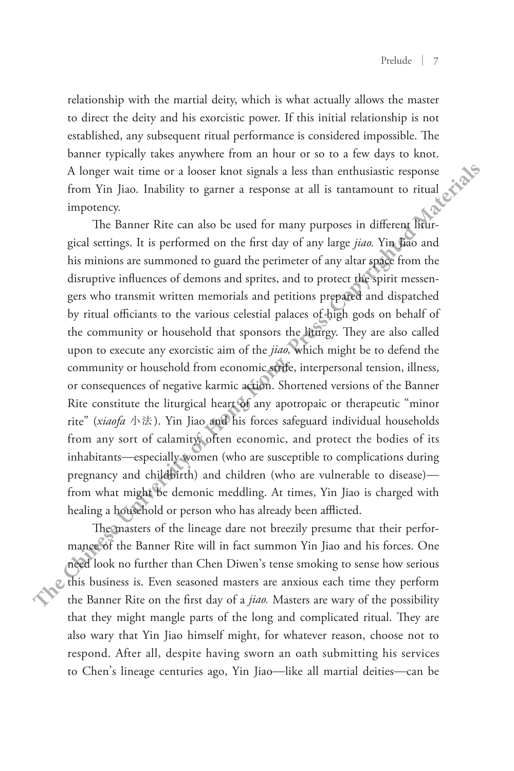relationship with the martial deity, which is what actually allows the master to direct the deity and his exorcistic power. If this initial relationship is not established, any subsequent ritual performance is considered impossible. The banner typically takes anywhere from an hour or so to a few days to knot. A longer wait time or a looser knot signals a less than enthusiastic response<br>from Yin Jiao. Inability to garner a response at all is tantaments from Yin Jiao. Inability to garner a response at all is tantamount to ritual impotency.

The Banner Rite can also be used for many purposes in different liturgical settings. It is performed on the first day of any large *jiao.* Yin Jiao and his minions are summoned to guard the perimeter of any altar space from the disruptive influences of demons and sprites, and to protect the spirit messengers who transmit written memorials and petitions prepared and dispatched by ritual officiants to the various celestial palaces of high gods on behalf of the community or household that sponsors the liturgy. They are also called upon to execute any exorcistic aim of the *jiao,* which might be to defend the community or household from economic strife, interpersonal tension, illness, or consequences of negative karmic action. Shortened versions of the Banner Rite constitute the liturgical heart of any apotropaic or therapeutic "minor rite" (*xiaofa* 小法). Yin Jiao and his forces safeguard individual households from any sort of calamity, often economic, and protect the bodies of its inhabitants—especially women (who are susceptible to complications during pregnancy and childbirth) and children (who are vulnerable to disease) from what might be demonic meddling. At times, Yin Jiao is charged with healing a household or person who has already been afflicted. **The Chinese Chine Chinese Schinese Chinese Schinese Schinese Schinese Schinese Schinese Schinese Schinese Schinese Schinese Schinese Schinese Schinese Schinese Schinese Schinese Schinese Schinese Schinese Schinese Schines** 

The masters of the lineage dare not breezily presume that their performance of the Banner Rite will in fact summon Yin Jiao and his forces. One need look no further than Chen Diwen's tense smoking to sense how serious this business is. Even seasoned masters are anxious each time they perform the Banner Rite on the first day of a *jiao.* Masters are wary of the possibility that they might mangle parts of the long and complicated ritual. They are also wary that Yin Jiao himself might, for whatever reason, choose not to respond. After all, despite having sworn an oath submitting his services to Chen's lineage centuries ago, Yin Jiao—like all martial deities—can be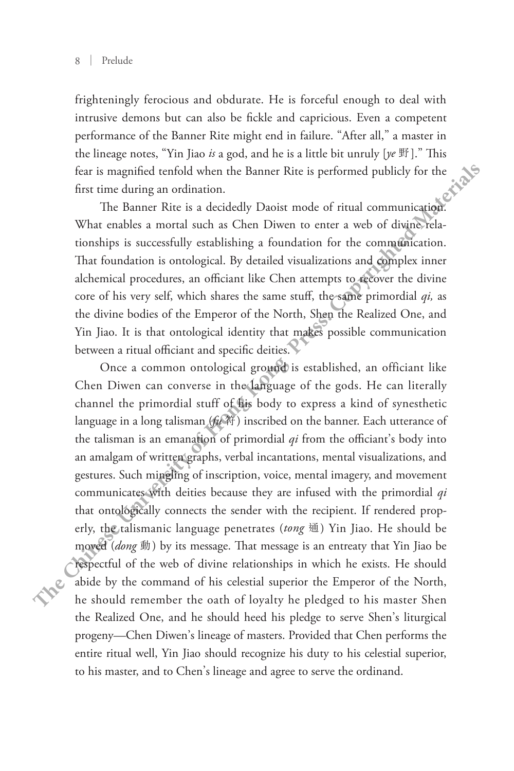frighteningly ferocious and obdurate. He is forceful enough to deal with intrusive demons but can also be fickle and capricious. Even a competent performance of the Banner Rite might end in failure. "After all," a master in the lineage notes, "Yin Jiao *is* a god, and he is a little bit unruly [*ye* 野]." This fear is magnified tenfold when the Banner Rite is performed publicly for the first time during an ordination.

The Banner Rite is a decidedly Daoist mode of ritual communication. What enables a mortal such as Chen Diwen to enter a web of divine relationships is successfully establishing a foundation for the communication. That foundation is ontological. By detailed visualizations and complex inner alchemical procedures, an officiant like Chen attempts to recover the divine core of his very self, which shares the same stuff, the same primordial *qi,* as the divine bodies of the Emperor of the North, Shen the Realized One, and Yin Jiao. It is that ontological identity that makes possible communication between a ritual officiant and specific deities.

Once a common ontological ground is established, an officiant like Chen Diwen can converse in the language of the gods. He can literally channel the primordial stuff of his body to express a kind of synesthetic language in a long talisman (*fu* 符) inscribed on the banner. Each utterance of the talisman is an emanation of primordial *qi* from the officiant's body into an amalgam of written graphs, verbal incantations, mental visualizations, and gestures. Such mingling of inscription, voice, mental imagery, and movement communicates with deities because they are infused with the primordial *qi* that ontologically connects the sender with the recipient. If rendered properly, the talismanic language penetrates (*tong* 通) Yin Jiao. He should be moved (*dong* 動) by its message. That message is an entreaty that Yin Jiao be respectful of the web of divine relationships in which he exists. He should abide by the command of his celestial superior the Emperor of the North, he should remember the oath of loyalty he pledged to his master Shen the Realized One, and he should heed his pledge to serve Shen's liturgical progeny—Chen Diwen's lineage of masters. Provided that Chen performs the entire ritual well, Yin Jiao should recognize his duty to his celestial superior, to his master, and to Chen's lineage and agree to serve the ordinand. **There** coefficient the same of the Banner Rite might end in failure. "After all," a master in the lineage notes, "Yin Jiao *b* a god, and he is a little bit unruly  $\{w \in \mathbb{R}\}^n$ ." This fear is magnific corollo when th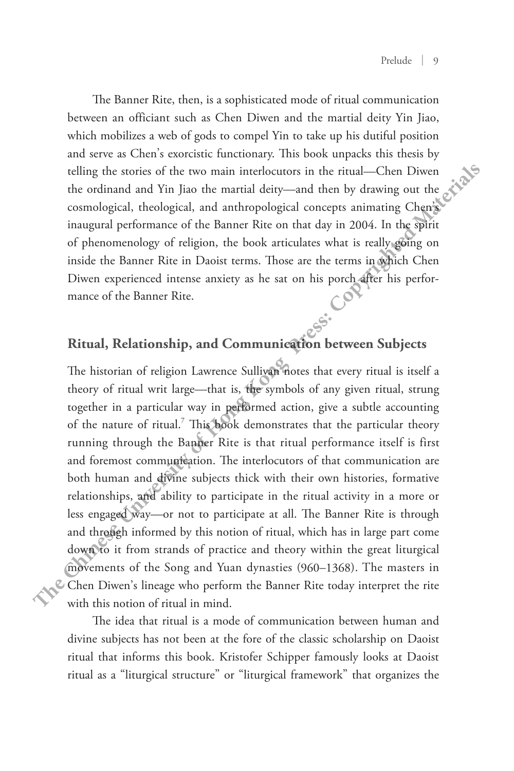The Banner Rite, then, is a sophisticated mode of ritual communication between an officiant such as Chen Diwen and the martial deity Yin Jiao, which mobilizes a web of gods to compel Yin to take up his dutiful position and serve as Chen's exorcistic functionary. This book unpacks this thesis by telling the stories of the two main interlocutors in the ritual—Chen Diwen the ordinand and Yin Jiao the martial deity—and then by drawing out the cosmological, theological, and anthropological concepts animating Chen's inaugural performance of the Banner Rite on that day in 2004. In the spirit of phenomenology of religion, the book articulates what is really going on inside the Banner Rite in Daoist terms. Those are the terms in which Chen Diwen experienced intense anxiety as he sat on his porch after his performance of the Banner Rite.

## **Ritual, Relationship, and Communication between Subjects**

The historian of religion Lawrence Sullivan notes that every ritual is itself a theory of ritual writ large—that is, the symbols of any given ritual, strung together in a particular way in performed action, give a subtle accounting of the nature of ritual.<sup>7</sup> This book demonstrates that the particular theory running through the Banner Rite is that ritual performance itself is first and foremost communication. The interlocutors of that communication are both human and divine subjects thick with their own histories, formative relationships, and ability to participate in the ritual activity in a more or less engaged way—or not to participate at all. The Banner Rite is through and through informed by this notion of ritual, which has in large part come down to it from strands of practice and theory within the great liturgical movements of the Song and Yuan dynasties (960–1368). The masters in Chen Diwen's lineage who perform the Banner Rite today interpret the rite with this notion of ritual in mind. **The Chinese University of Hong Kong Press: Copyrighted Materials**

> The idea that ritual is a mode of communication between human and divine subjects has not been at the fore of the classic scholarship on Daoist ritual that informs this book. Kristofer Schipper famously looks at Daoist ritual as a "liturgical structure" or "liturgical framework" that organizes the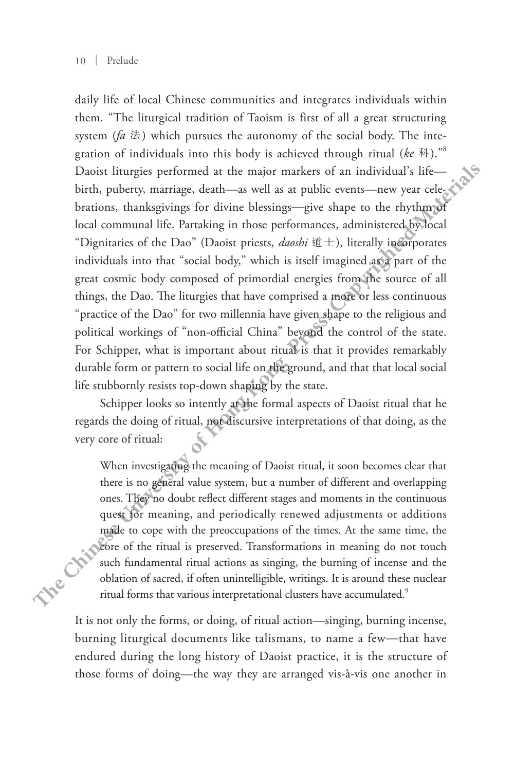daily life of local Chinese communities and integrates individuals within them. "The liturgical tradition of Taoism is first of all a great structuring system ( $fa \nLeftrightarrow$ ) which pursues the autonomy of the social body. The integration of individuals into this body is achieved through ritual (*ke* 科)." 8 Daoist liturgies performed at the major markers of an individual's life birth, puberty, marriage, death—as well as at public events—new year celebrations, thanksgivings for divine blessings—give shape to the rhythm of local communal life. Partaking in those performances, administered by local "Dignitaries of the Dao" (Daoist priests, *daoshi* 道士), literally incorporates individuals into that "social body," which is itself imagined as a part of the great cosmic body composed of primordial energies from the source of all things, the Dao. The liturgies that have comprised a more or less continuous "practice of the Dao" for two millennia have given shape to the religious and political workings of "non-official China" beyond the control of the state. For Schipper, what is important about ritual is that it provides remarkably durable form or pattern to social life on the ground, and that that local social life stubbornly resists top-down shaping by the state. **Example 1** and the state of the state of the state of the state of the state of the state of the state of the state of the interpretation of individuals into this body is achieved through ritual (*ke* <sup>8</sup>A).<sup>36</sup> Dooit T

Schipper looks so intently at the formal aspects of Daoist ritual that he regards the doing of ritual, not discursive interpretations of that doing, as the very core of ritual:

When investigating the meaning of Daoist ritual, it soon becomes clear that there is no general value system, but a number of different and overlapping ones. They no doubt reflect different stages and moments in the continuous quest for meaning, and periodically renewed adjustments or additions made to cope with the preoccupations of the times. At the same time, the core of the ritual is preserved. Transformations in meaning do not touch such fundamental ritual actions as singing, the burning of incense and the oblation of sacred, if often unintelligible, writings. It is around these nuclear

It is not only the forms, or doing, of ritual action—singing, burning incense, burning liturgical documents like talismans, to name a few—that have endured during the long history of Daoist practice, it is the structure of those forms of doing—the way they are arranged vis-à-vis one another in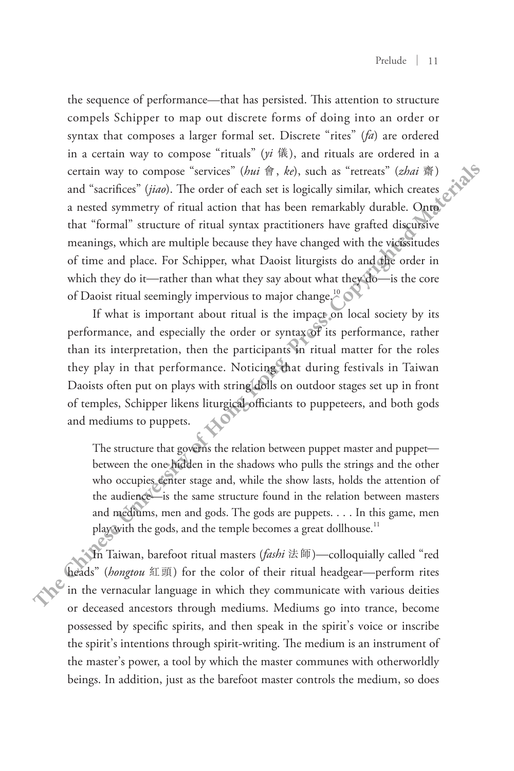the sequence of performance—that has persisted. This attention to structure compels Schipper to map out discrete forms of doing into an order or syntax that composes a larger formal set. Discrete "rites" (*fa*) are ordered in a certain way to compose "rituals" (*yi* 儀), and rituals are ordered in a certain way to compose "services" (*hui* 會, *ke*), such as "retreats" (*zhai* 齋) and "sacrifices" (*jiao*). The order of each set is logically similar, which creates a nested symmetry of ritual action that has been remarkably durable. Onto that "formal" structure of ritual syntax practitioners have grafted discursive meanings, which are multiple because they have changed with the vicissitudes of time and place. For Schipper, what Daoist liturgists do and the order in which they do it—rather than what they say about what they do—is the core of Daoist ritual seemingly impervious to major change.<sup>10</sup> **The straigable of the set of Daoi and reduced to the set of the set of the set of the streage in the streage in the streage of the set of the set of the set of the set of the set of the set of the set of the set of the s** 

If what is important about ritual is the impact on local society by its performance, and especially the order or syntax of its performance, rather than its interpretation, then the participants in ritual matter for the roles they play in that performance. Noticing that during festivals in Taiwan Daoists often put on plays with string dolls on outdoor stages set up in front of temples, Schipper likens liturgical officiants to puppeteers, and both gods and mediums to puppets.

The structure that governs the relation between puppet master and puppet between the one hidden in the shadows who pulls the strings and the other who occupies center stage and, while the show lasts, holds the attention of the audience—is the same structure found in the relation between masters and mediums, men and gods. The gods are puppets. . . . In this game, men play with the gods, and the temple becomes a great dollhouse.<sup>11</sup>

In Taiwan, barefoot ritual masters (*fashi* 法師)—colloquially called "red heads" (*hongtou* 紅頭) for the color of their ritual headgear—perform rites in the vernacular language in which they communicate with various deities or deceased ancestors through mediums. Mediums go into trance, become possessed by specific spirits, and then speak in the spirit's voice or inscribe the spirit's intentions through spirit-writing. The medium is an instrument of the master's power, a tool by which the master communes with otherworldly beings. In addition, just as the barefoot master controls the medium, so does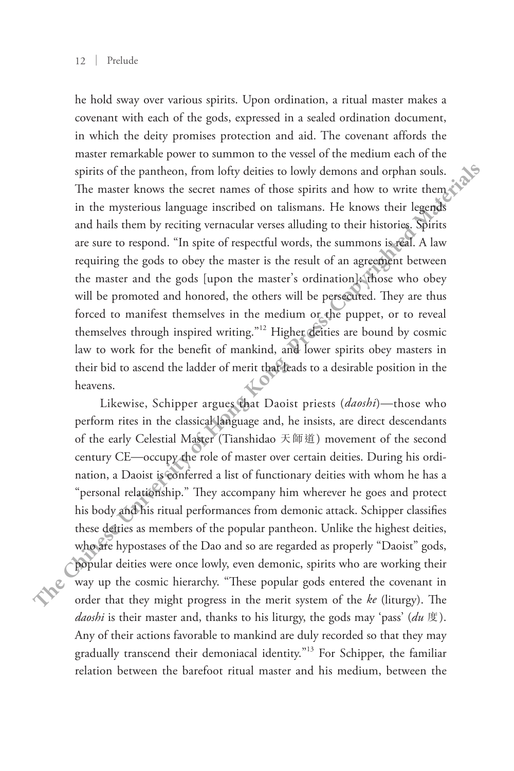he hold sway over various spirits. Upon ordination, a ritual master makes a covenant with each of the gods, expressed in a sealed ordination document, in which the deity promises protection and aid. The covenant affords the master remarkable power to summon to the vessel of the medium each of the spirits of the pantheon, from lofty deities to lowly demons and orphan souls. The master knows the secret names of those spirits and how to write them in the mysterious language inscribed on talismans. He knows their legends and hails them by reciting vernacular verses alluding to their histories. Spirits are sure to respond. "In spite of respectful words, the summons is real. A law requiring the gods to obey the master is the result of an agreement between the master and the gods [upon the master's ordination]: those who obey will be promoted and honored, the others will be persecuted. They are thus forced to manifest themselves in the medium or the puppet, or to reveal themselves through inspired writing."<sup>12</sup> Higher deities are bound by cosmic law to work for the benefit of mankind, and lower spirits obey masters in their bid to ascend the ladder of merit that leads to a desirable position in the heavens. **There is the set of the properties of Chinese Chinese Chinese Chinese Chinese Chine Chinese Chine Chine Chine Chine Chine Chine Chine Chine Chine Chine Chine Chine Chi** 

Likewise, Schipper argues that Daoist priests (*daoshi*)—those who perform rites in the classical language and, he insists, are direct descendants of the early Celestial Master (Tianshidao 天師道) movement of the second century CE—occupy the role of master over certain deities. During his ordination, a Daoist is conferred a list of functionary deities with whom he has a "personal relationship." They accompany him wherever he goes and protect his body and his ritual performances from demonic attack. Schipper classifies these deities as members of the popular pantheon. Unlike the highest deities, who are hypostases of the Dao and so are regarded as properly "Daoist" gods, popular deities were once lowly, even demonic, spirits who are working their way up the cosmic hierarchy. "These popular gods entered the covenant in order that they might progress in the merit system of the *ke* (liturgy). The *daoshi* is their master and, thanks to his liturgy, the gods may 'pass' (*du* 度). Any of their actions favorable to mankind are duly recorded so that they may gradually transcend their demoniacal identity." 13 For Schipper, the familiar relation between the barefoot ritual master and his medium, between the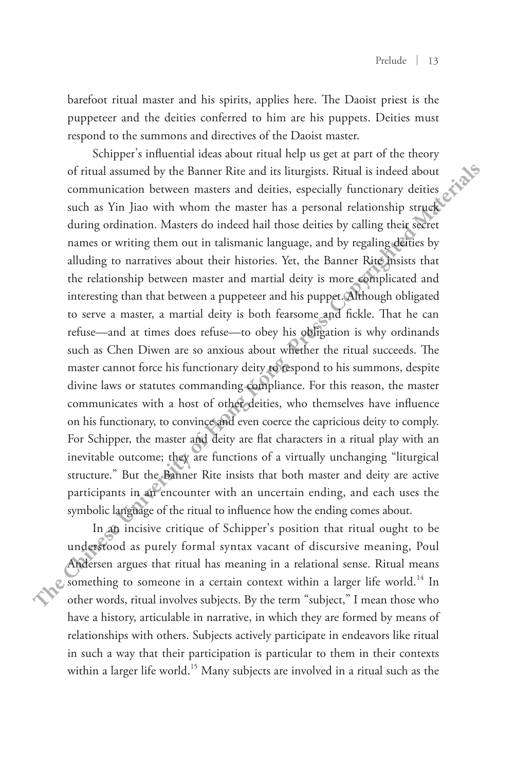barefoot ritual master and his spirits, applies here. The Daoist priest is the puppeteer and the deities conferred to him are his puppets. Deities must respond to the summons and directives of the Daoist master.

Schipper's influential ideas about ritual help us get at part of the theory of ritual assumed by the Banner Rite and its liturgists. Ritual is indeed about communication between masters and deities, especially functionary deities such as Yin Jiao with whom the master has a personal relationship struck during ordination. Masters do indeed hail those deities by calling their secret names or writing them out in talismanic language, and by regaling deities by alluding to narratives about their histories. Yet, the Banner Rite insists that the relationship between master and martial deity is more complicated and interesting than that between a puppeteer and his puppet. Although obligated to serve a master, a martial deity is both fearsome and fickle. That he can refuse—and at times does refuse—to obey his obligation is why ordinands such as Chen Diwen are so anxious about whether the ritual succeeds. The master cannot force his functionary deity to respond to his summons, despite divine laws or statutes commanding compliance. For this reason, the master communicates with a host of other deities, who themselves have influence on his functionary, to convince and even coerce the capricious deity to comply. For Schipper, the master and deity are flat characters in a ritual play with an inevitable outcome; they are functions of a virtually unchanging "liturgical structure." But the Banner Rite insists that both master and deity are active participants in an encounter with an uncertain ending, and each uses the symbolic language of the ritual to influence how the ending comes about. **The presentation of the Bannel Rive in the summons and directives of the Daois master.<br>
Schipper's influential ideas about riual help us get at part of the theory<br>
of ritual assumed by the Bannel Rive and its littingsts.** 

In an incisive critique of Schipper's position that ritual ought to be understood as purely formal syntax vacant of discursive meaning, Poul Andersen argues that ritual has meaning in a relational sense. Ritual means something to someone in a certain context within a larger life world.14 In other words, ritual involves subjects. By the term "subject," I mean those who have a history, articulable in narrative, in which they are formed by means of relationships with others. Subjects actively participate in endeavors like ritual in such a way that their participation is particular to them in their contexts within a larger life world.<sup>15</sup> Many subjects are involved in a ritual such as the